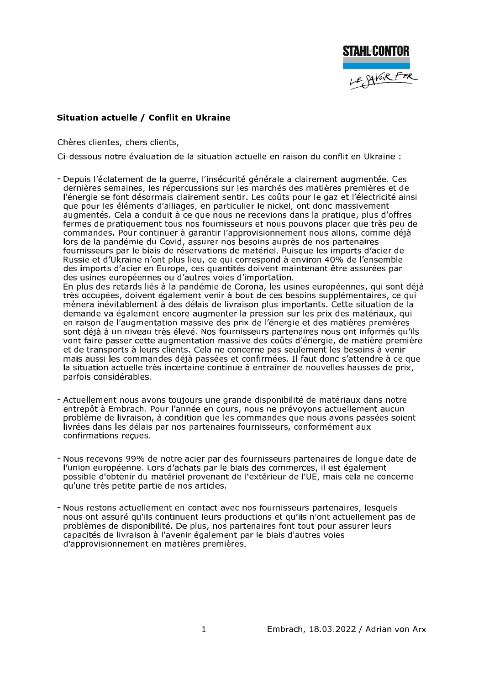

## Situation actuelle / Conflit en Ukraine

Chères clientes, chers clients,

Ci-dessous notre évaluation de la situation actuelle en raison du conflit en Ukraine :

- Depuis l'éclatement de la guerre, l'insécurité générale a clairement augmentée. Ces dernières semaines, les répercussions sur les marchés des matières premières et de l'énergie se font désormais clairement sentir. Les coûts pour le gaz et l'électricité ainsi que pour les éléments d'alliages, en particulier le nickel, ont donc massivement augmentés. Cela a conduit à ce que nous ne recevions dans la pratique, plus d'offres fermes de pratiquement tous nos fournisseurs et nous pouvons placer que très peu de commandes. Pour continuer à garantir l'approvisionnement nous allons, comme déjà lors de la pandémie du Covid, assurer nos besoins auprès de nos partenaires fournisseurs par le biais de réservations de matériel. Puisque les imports d'acier de Russie et d'Ukraine n'ont plus lieu, ce qui correspond à environ 40% de l'ensemble des imports d'acier en Europe, ces quantités doivent maintenant être assurées par des usines européennes ou d'autres voies d'importation. En plus des retards liés à la pandémie de Corona, les usines européennes, qui sont déjà très occupées, doivent également venir à bout de ces besoins supplémentaires, ce qui mènera inévitablement à des délais de livraison plus importants. Cette situation de la demande va également encore augmenter la pression sur les prix des matériaux, qui en raison de l'augmentation massive des prix de l'énergie et des matières premières sont déjà à un niveau très élevé. Nos fournisseurs partenaires nous ont informés qu'ils vont faire passer cette augmentation massive des coûts d'énergie, de matière première
	- et de transports à leurs clients. Cela ne concerne pas seulement les besoins à venir mais aussi les commandes déjà passées et confirmées. Il faut donc s'attendre à ce que la situation actuelle très incertaine continue à entraîner de nouvelles hausses de prix, parfois considérables.
- Actuellement nous avons toujours une grande disponibilité de matériaux dans notre entrepôt à Embrach. Pour l'année en cours, nous ne prévoyons actuellement aucun problème de livraison, à condition que les commandes que nous avons passées soient livrées dans les délais par nos partenaires fournisseurs, conformément aux confirmations recues.
- Nous recevons 99% de notre acier par des fournisseurs partenaires de longue date de l'union européenne. Lors d'achats par le biais des commerces, il est également possible d'obtenir du matériel provenant de l'extérieur de l'UE, mais cela ne concerne qu'une très petite partie de nos articles.
- Nous restons actuellement en contact avec nos fournisseurs partenaires, lesquels nous ont assuré qu'ils continuent leurs productions et qu'ils n'ont actuellement pas de problèmes de disponibilité. De plus, nos partenaires font tout pour assurer leurs capacités de livraison à l'avenir également par le biais d'autres voies d'approvisionnement en matières premières.